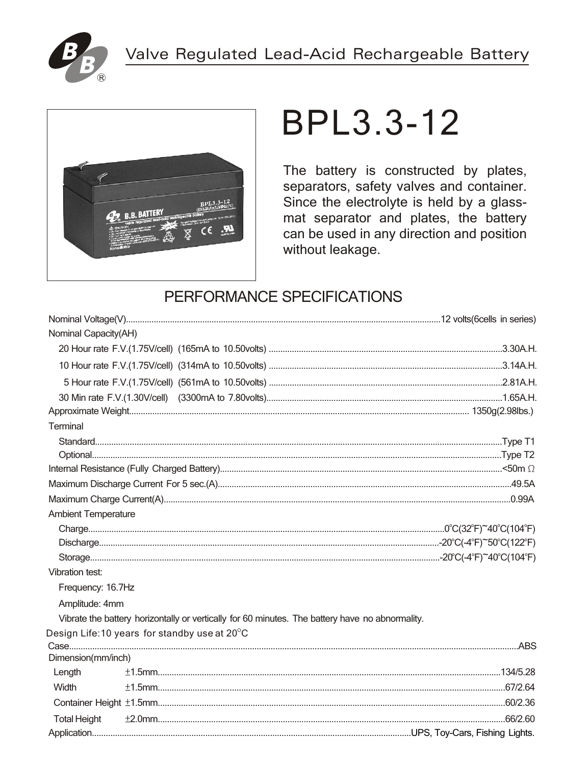



# **BPL3.3-12**

The battery is constructed by plates, separators, safety valves and container. Since the electrolyte is held by a glassmat separator and plates, the battery can be used in any direction and position without leakage.

## PERFORMANCE SPECIFICATIONS

| Nominal Capacity(AH)                                                                            |  |
|-------------------------------------------------------------------------------------------------|--|
|                                                                                                 |  |
|                                                                                                 |  |
|                                                                                                 |  |
|                                                                                                 |  |
|                                                                                                 |  |
| Terminal                                                                                        |  |
|                                                                                                 |  |
|                                                                                                 |  |
|                                                                                                 |  |
|                                                                                                 |  |
|                                                                                                 |  |
| <b>Ambient Temperature</b>                                                                      |  |
|                                                                                                 |  |
|                                                                                                 |  |
|                                                                                                 |  |
| Vibration test:                                                                                 |  |
| Frequency: 16.7Hz                                                                               |  |
| Amplitude: 4mm                                                                                  |  |
| Vibrate the battery horizontally or vertically for 60 minutes. The battery have no abnormality. |  |
| Design Life: 10 years for standby use at $20^{\circ}$ C                                         |  |
|                                                                                                 |  |
| Dimension(mm/inch)                                                                              |  |
| Length                                                                                          |  |
| Width                                                                                           |  |
|                                                                                                 |  |
| <b>Total Height</b>                                                                             |  |
|                                                                                                 |  |